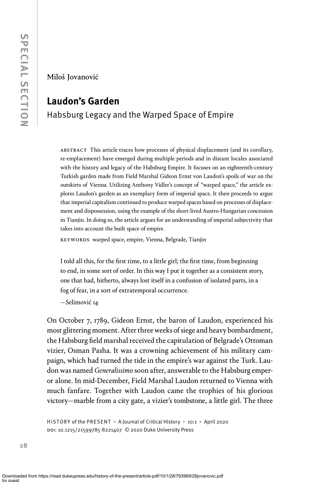Miloš Jovanović

# Laudon's Garden

# Habsburg Legacy and the Warped Space of Empire

ABSTRACT This article traces how processes of physical displacement (and its corollary, re-emplacement) have emerged during multiple periods and in distant locales associated with the history and legacy of the Habsburg Empire. It focuses on an eighteenth-century Turkish garden made from Field Marshal Gideon Ernst von Laudon's spoils of war on the outskirts of Vienna. Utilizing Anthony Vidler's concept of "warped space," the article explores Laudon's garden as an exemplary form of imperial space. It then proceeds to argue that imperial capitalism continued to produce warped spaces based on processes of displacement and dispossession, using the example of the short-lived Austro-Hungarian concession in Tianjin. In doing so, the article argues for an understanding of imperial subjectivity that takes into account the built space of empire.

keywords warped space, empire, Vienna, Belgrade, Tianjin

I told all this, for the first time, to a little girl; the first time, from beginning to end, in some sort of order. In this way I put it together as a consistent story, one that had, hitherto, always lost itself in a confusion of isolated parts, in a fog of fear, in a sort of extratemporal occurrence.

—Selimović 14

On October 7, 1789, Gideon Ernst, the baron of Laudon, experienced his most glittering moment. After three weeks of siege and heavy bombardment, the Habsburg field marshal received the capitulation of Belgrade's Ottoman vizier, Osman Pasha. It was a crowning achievement of his military campaign, which had turned the tide in the empire's war against the Turk. Laudon was named Generalissimo soon after, answerable to the Habsburg emperor alone. In mid-December, Field Marshal Laudon returned to Vienna with much fanfare. Together with Laudon came the trophies of his glorious victory—marble from a city gate, a vizier's tombstone, a little girl. The three

HISTORY of the PRESENT = A Journal of Critical History = 10:1 = April 2020 doi: 10.1215/21599785-8221407 © 2020 Duke University Press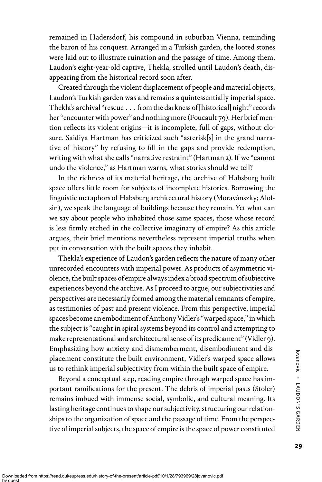remained in Hadersdorf, his compound in suburban Vienna, reminding the baron of his conquest. Arranged in a Turkish garden, the looted stones were laid out to illustrate ruination and the passage of time. Among them, Laudon's eight-year-old captive, Thekla, strolled until Laudon's death, disappearing from the historical record soon after.

Created through the violent displacement of people and material objects, Laudon's Turkish garden was and remains a quintessentially imperial space. Thekla's archival "rescue . . . from the darkness of [historical] night" records her"encounter with power" and nothing more (Foucault 79). Her brief mention reflects its violent origins—it is incomplete, full of gaps, without closure. Saidiya Hartman has criticized such "asterisk[s] in the grand narrative of history" by refusing to fill in the gaps and provide redemption, writing with what she calls"narrative restraint"(Hartman 2). If we "cannot undo the violence," as Hartman warns, what stories should we tell?

In the richness of its material heritage, the archive of Habsburg built space offers little room for subjects of incomplete histories. Borrowing the linguistic metaphors of Habsburg architectural history (Moravánszky; Alofsin), we speak the language of buildings because they remain. Yet what can we say about people who inhabited those same spaces, those whose record is less firmly etched in the collective imaginary of empire? As this article argues, their brief mentions nevertheless represent imperial truths when put in conversation with the built spaces they inhabit.

Thekla's experience of Laudon's garden reflects the nature of many other unrecorded encounters with imperial power. As products of asymmetric violence, the built spaces of empire always index a broad spectrum of subjective experiences beyond the archive. As I proceed to argue, our subjectivities and perspectives are necessarily formed among the material remnants of empire, as testimonies of past and present violence. From this perspective, imperial spaces become an embodiment of Anthony Vidler's "warped space," in which the subject is"caught in spiral systems beyond its control and attempting to make representational and architectural sense of its predicament"(Vidler 9). Emphasizing how anxiety and dismemberment, disembodiment and displacement constitute the built environment, Vidler's warped space allows us to rethink imperial subjectivity from within the built space of empire.

Beyond a conceptual step, reading empire through warped space has important ramifications for the present. The debris of imperial pasts (Stoler) remains imbued with immense social, symbolic, and cultural meaning. Its lasting heritage continues to shape our subjectivity, structuring our relationships to the organization of space and the passage of time. From the perspective of imperial subjects, the space of empire is the space of power constituted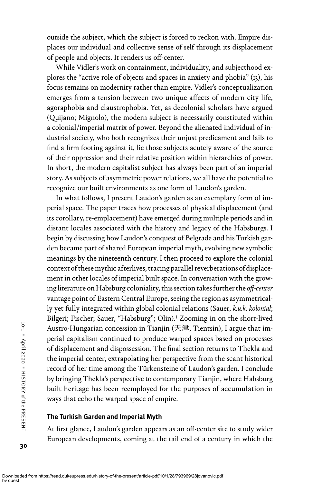outside the subject, which the subject is forced to reckon with. Empire displaces our individual and collective sense of self through its displacement of people and objects. It renders us off-center.

While Vidler's work on containment, individuality, and subjecthood explores the "active role of objects and spaces in anxiety and phobia" (13), his focus remains on modernity rather than empire. Vidler's conceptualization emerges from a tension between two unique affects of modern city life, agoraphobia and claustrophobia. Yet, as decolonial scholars have argued (Quijano; Mignolo), the modern subject is necessarily constituted within a colonial/imperial matrix of power. Beyond the alienated individual of industrial society, who both recognizes their unjust predicament and fails to find a firm footing against it, lie those subjects acutely aware of the source of their oppression and their relative position within hierarchies of power. In short, the modern capitalist subject has always been part of an imperial story. As subjects of asymmetric power relations, we all have the potential to recognize our built environments as one form of Laudon's garden.

In what follows, I present Laudon's garden as an exemplary form of imperial space. The paper traces how processes of physical displacement (and its corollary, re-emplacement) have emerged during multiple periods and in distant locales associated with the history and legacy of the Habsburgs. I begin by discussing how Laudon's conquest of Belgrade and his Turkish garden became part of shared European imperial myth, evolving new symbolic meanings by the nineteenth century. I then proceed to explore the colonial context of these mythic afterlives, tracing parallel reverberations of displacement in other locales of imperial built space. In conversation with the growing literature on Habsburg coloniality, this section takes further the off-center vantage point of Eastern Central Europe, seeing the region as asymmetrically yet fully integrated within global colonial relations (Sauer, k.u.k. kolonial; Bilgeri; Fischer; Sauer, "Habsburg"; Olin).<sup>1</sup> Zooming in on the short-lived Austro-Hungarian concession in Tianjin (天津, Tientsin), I argue that imperial capitalism continued to produce warped spaces based on processes of displacement and dispossession. The final section returns to Thekla and the imperial center, extrapolating her perspective from the scant historical record of her time among the Türkensteine of Laudon's garden. I conclude by bringing Thekla's perspective to contemporary Tianjin, where Habsburg built heritage has been reemployed for the purposes of accumulation in ways that echo the warped space of empire.

## The Turkish Garden and Imperial Myth

At first glance, Laudon's garden appears as an off-center site to study wider European developments, coming at the tail end of a century in which the

30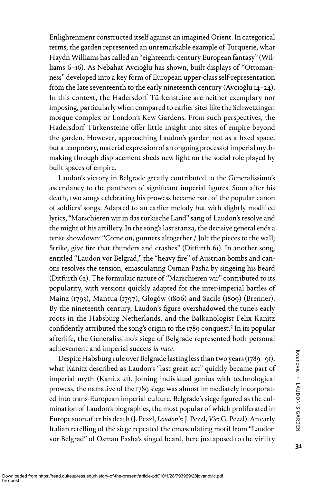Enlightenment constructed itself against an imagined Orient. In categorical terms, the garden represented an unremarkable example of Turquerie, what Haydn Williams has called an "eighteenth-century European fantasy"(Williams 6–16). As Nebahat Avcıoğlu has shown, built displays of "Ottomanness" developed into a key form of European upper-class self-representation from the late seventeenth to the early nineteenth century (Avcıoğlu 14–24). In this context, the Hadersdorf Türkensteine are neither exemplary nor imposing, particularly when compared to earlier sites like the Schwetzingen mosque complex or London's Kew Gardens. From such perspectives, the Hadersdorf Türkensteine offer little insight into sites of empire beyond the garden. However, approaching Laudon's garden not as a fixed space, but a temporary, material expression of an ongoing process of imperial mythmaking through displacement sheds new light on the social role played by built spaces of empire.

Laudon's victory in Belgrade greatly contributed to the Generalissimo's ascendancy to the pantheon of significant imperial figures. Soon after his death, two songs celebrating his prowess became part of the popular canon of soldiers' songs. Adapted to an earlier melody but with slightly modified lyrics,"Marschieren wir in das türkische Land"sang of Laudon's resolve and the might of his artillery. In the song's last stanza, the decisive general ends a tense showdown: "Come on, gunners altogether / Jolt the pieces to the wall; Strike, give fire that thunders and crashes" (Ditfurth 61). In another song, entitled "Laudon vor Belgrad," the "heavy fire" of Austrian bombs and canons resolves the tension, emasculating Osman Pasha by singeing his beard (Ditfurth 62). The formulaic nature of "Marschieren wir" contributed to its popularity, with versions quickly adapted for the inter-imperial battles of Mainz (1793), Mantua (1797), Głogów (1806) and Sacile (1809) (Brenner). By the nineteenth century, Laudon's figure overshadowed the tune's early roots in the Habsburg Netherlands, and the Balkanologist Felix Kanitz confidently attributed the song's origin to the 1789 conquest.<sup>2</sup> In its popular afterlife, the Generalissimo's siege of Belgrade represented both personal achievement and imperial success in nuce.

Despite Habsburg rule over Belgrade lasting less than two years (1789–91), what Kanitz described as Laudon's "last great act" quickly became part of imperial myth (Kanitz 21). Joining individual genius with technological prowess, the narrative of the 1789 siege was almost immediately incorporated into trans-European imperial culture. Belgrade's siege figured as the culmination of Laudon's biographies, the most popular of which proliferated in Europe soon after his death (J. Pezzl, Loudon's; J. Pezzl, Vie; G. Pezzl). An early Italian retelling of the siege repeated the emasculating motif from "Laudon vor Belgrad" of Osman Pasha's singed beard, here juxtaposed to the virility

31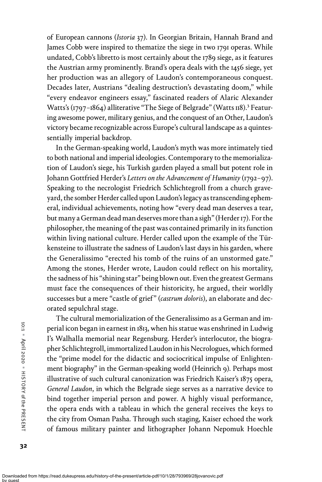of European cannons (Istoria 37). In Georgian Britain, Hannah Brand and James Cobb were inspired to thematize the siege in two 1791 operas. While undated, Cobb's libretto is most certainly about the 1789 siege, as it features the Austrian army prominently. Brand's opera deals with the 1456 siege, yet her production was an allegory of Laudon's contemporaneous conquest. Decades later, Austrians "dealing destruction's devastating doom," while "every endeavor engineers essay," fascinated readers of Alaric Alexander Watts's (1797–1864) alliterative "The Siege of Belgrade" (Watts 118).<sup>3</sup> Featuring awesome power, military genius, and the conquest of an Other, Laudon's victory became recognizable across Europe's cultural landscape as a quintessentially imperial backdrop.

In the German-speaking world, Laudon's myth was more intimately tied to both national and imperial ideologies. Contemporary to the memorialization of Laudon's siege, his Turkish garden played a small but potent role in Johann Gottfried Herder's Letters on the Advancement of Humanity (1792–97). Speaking to the necrologist Friedrich Schlichtegroll from a church graveyard, the somber Herder called upon Laudon's legacy as transcending ephemeral, individual achievements, noting how "every dead man deserves a tear, but many a German dead man deserves more than a sigh"(Herder 17). For the philosopher, the meaning of the past was contained primarily in its function within living national culture. Herder called upon the example of the Türkensteine to illustrate the sadness of Laudon's last days in his garden, where the Generalissimo "erected his tomb of the ruins of an unstormed gate." Among the stones, Herder wrote, Laudon could reflect on his mortality, the sadness of his"shining star" being blown out. Even the greatest Germans must face the consequences of their historicity, he argued, their worldly successes but a mere "castle of grief" (castrum doloris), an elaborate and decorated sepulchral stage.

The cultural memorialization of the Generalissimo as a German and imperial icon began in earnest in 1813, when his statue was enshrined in Ludwig I's Walhalla memorial near Regensburg. Herder's interlocutor, the biographer Schlichtegroll, immortalized Laudon in his Necrologues, which formed the "prime model for the didactic and sociocritical impulse of Enlightenment biography" in the German-speaking world (Heinrich 9). Perhaps most illustrative of such cultural canonization was Friedrich Kaiser's 1875 opera, General Laudon, in which the Belgrade siege serves as a narrative device to bind together imperial person and power. A highly visual performance, the opera ends with a tableau in which the general receives the keys to the city from Osman Pasha. Through such staging, Kaiser echoed the work of famous military painter and lithographer Johann Nepomuk Hoechle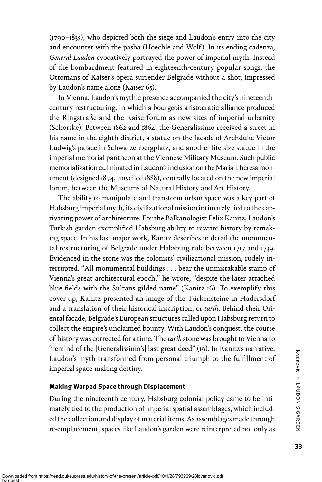(1790–1835), who depicted both the siege and Laudon's entry into the city and encounter with the pasha (Hoechle and Wolf). In its ending cadenza, General Laudon evocatively portrayed the power of imperial myth. Instead of the bombardment featured in eighteenth-century popular songs, the Ottomans of Kaiser's opera surrender Belgrade without a shot, impressed by Laudon's name alone (Kaiser 65).

In Vienna, Laudon's mythic presence accompanied the city's nineteenthcentury restructuring, in which a bourgeois-aristocratic alliance produced the Ringstraße and the Kaiserforum as new sites of imperial urbanity (Schorske). Between 1862 and 1864, the Generalissimo received a street in his name in the eighth district, a statue on the facade of Archduke Victor Ludwig's palace in Schwarzenbergplatz, and another life-size statue in the imperial memorial pantheon at the Viennese Military Museum. Such public memorialization culminated in Laudon's inclusion on the Maria Theresa monument (designed 1874, unveiled 1888), centrally located on the new imperial forum, between the Museums of Natural History and Art History.

The ability to manipulate and transform urban space was a key part of Habsburg imperial myth, its civilizational mission intimately tied to the captivating power of architecture. For the Balkanologist Felix Kanitz, Laudon's Turkish garden exemplified Habsburg ability to rewrite history by remaking space. In his last major work, Kanitz describes in detail the monumental restructuring of Belgrade under Habsburg rule between 1717 and 1739. Evidenced in the stone was the colonists' civilizational mission, rudely interrupted. "All monumental buildings . . . bear the unmistakable stamp of Vienna's great architectural epoch," he wrote, "despite the later attached blue fields with the Sultans gilded name" (Kanitz 16). To exemplify this cover-up, Kanitz presented an image of the Türkensteine in Hadersdorf and a translation of their historical inscription, or tarih. Behind their Oriental facade, Belgrade's European structures called upon Habsburg return to collect the empire's unclaimed bounty. With Laudon's conquest, the course of history was corrected for a time. The tarih stone was brought to Vienna to "remind of the [Generalissimo's] last great deed" (19). In Kanitz's narrative, Laudon's myth transformed from personal triumph to the fulfillment of imperial space-making destiny.

## Making Warped Space through Displacement

During the nineteenth century, Habsburg colonial policy came to be intimately tied to the production of imperial spatial assemblages, which included the collection and display of material items. As assemblages made through re-emplacement, spaces like Laudon's garden were reinterpreted not only as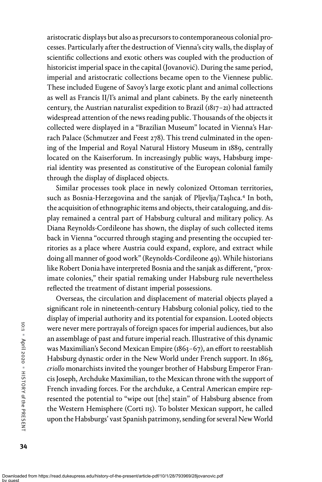aristocratic displays but also as precursors to contemporaneous colonial processes. Particularly after the destruction of Vienna's city walls, the display of scientific collections and exotic others was coupled with the production of historicist imperial space in the capital (Jovanović). During the same period, imperial and aristocratic collections became open to the Viennese public. These included Eugene of Savoy's large exotic plant and animal collections as well as Francis II/I's animal and plant cabinets. By the early nineteenth century, the Austrian naturalist expedition to Brazil (1817–21) had attracted widespread attention of the news reading public. Thousands of the objects it collected were displayed in a "Brazilian Museum" located in Vienna's Harrach Palace (Schmutzer and Feest 278). This trend culminated in the opening of the Imperial and Royal Natural History Museum in 1889, centrally located on the Kaiserforum. In increasingly public ways, Habsburg imperial identity was presented as constitutive of the European colonial family through the display of displaced objects.

Similar processes took place in newly colonized Ottoman territories, such as Bosnia-Herzegovina and the sanjak of Pljevlja/Taşlıca.<sup>4</sup> In both, the acquisition of ethnographic items and objects, their cataloguing, and display remained a central part of Habsburg cultural and military policy. As Diana Reynolds-Cordileone has shown, the display of such collected items back in Vienna "occurred through staging and presenting the occupied territories as a place where Austria could expand, explore, and extract while doing all manner of good work"(Reynolds-Cordileone 49). While historians like Robert Donia have interpreted Bosnia and the sanjak as different, "proximate colonies," their spatial remaking under Habsburg rule nevertheless reflected the treatment of distant imperial possessions.

Overseas, the circulation and displacement of material objects played a significant role in nineteenth-century Habsburg colonial policy, tied to the display of imperial authority and its potential for expansion. Looted objects were never mere portrayals of foreign spaces for imperial audiences, but also an assemblage of past and future imperial reach. Illustrative of this dynamic was Maximilian's Second Mexican Empire (1863–67), an effort to reestablish Habsburg dynastic order in the New World under French support. In 1863, criollo monarchists invited the younger brother of Habsburg Emperor Francis Joseph, Archduke Maximilian, to the Mexican throne with the support of French invading forces. For the archduke, a Central American empire represented the potential to "wipe out [the] stain" of Habsburg absence from the Western Hemisphere (Corti 115). To bolster Mexican support, he called upon the Habsburgs' vast Spanish patrimony, sending for several NewWorld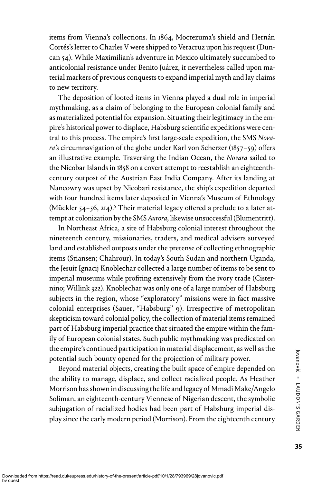items from Vienna's collections. In 1864, Moctezuma's shield and Hernán Cortés's letter to Charles V were shipped to Veracruz upon his request (Duncan 54). While Maximilian's adventure in Mexico ultimately succumbed to anticolonial resistance under Benito Juárez, it nevertheless called upon material markers of previous conquests to expand imperial myth and lay claims to new territory.

The deposition of looted items in Vienna played a dual role in imperial mythmaking, as a claim of belonging to the European colonial family and as materialized potential for expansion. Situating their legitimacy in the empire's historical power to displace, Habsburg scientific expeditions were central to this process. The empire's first large-scale expedition, the SMS Nova*ra*'s circumnavigation of the globe under Karl von Scherzer (1857–59) offers an illustrative example. Traversing the Indian Ocean, the Novara sailed to the Nicobar Islands in 1858 on a covert attempt to reestablish an eighteenthcentury outpost of the Austrian East India Company. After its landing at Nancowry was upset by Nicobari resistance, the ship's expedition departed with four hundred items later deposited in Vienna's Museum of Ethnology (Mückler 54–56, 214).<sup>5</sup> Their material legacy offered a prelude to a later attempt at colonization by the SMS Aurora, likewise unsuccessful (Blumentritt).

In Northeast Africa, a site of Habsburg colonial interest throughout the nineteenth century, missionaries, traders, and medical advisers surveyed land and established outposts under the pretense of collecting ethnographic items (Stiansen; Chahrour). In today's South Sudan and northern Uganda, the Jesuit Ignacij Knoblechar collected a large number of items to be sent to imperial museums while profiting extensively from the ivory trade (Cisternino; Willink 322). Knoblechar was only one of a large number of Habsburg subjects in the region, whose "exploratory" missions were in fact massive colonial enterprises (Sauer, "Habsburg" 9). Irrespective of metropolitan skepticism toward colonial policy, the collection of material items remained part of Habsburg imperial practice that situated the empire within the family of European colonial states. Such public mythmaking was predicated on the empire's continued participation in material displacement, as well as the potential such bounty opened for the projection of military power.

Beyond material objects, creating the built space of empire depended on the ability to manage, displace, and collect racialized people. As Heather Morrison has shown in discussing the life and legacy of Mmadi Make/Angelo Soliman, an eighteenth-century Viennese of Nigerian descent, the symbolic subjugation of racialized bodies had been part of Habsburg imperial display since the early modern period (Morrison). From the eighteenth century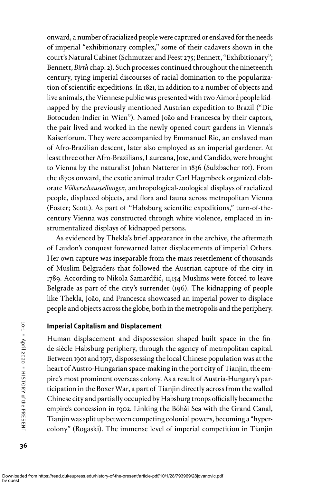onward, a number of racialized people were captured or enslaved for the needs of imperial "exhibitionary complex," some of their cadavers shown in the court's Natural Cabinet (Schmutzer and Feest 275; Bennett, "Exhibitionary"; Bennett, Birth chap. 2). Such processes continued throughout the nineteenth century, tying imperial discourses of racial domination to the popularization of scientific expeditions. In 1821, in addition to a number of objects and live animals, the Viennese public was presented with two Aimoré people kidnapped by the previously mentioned Austrian expedition to Brazil ("Die Botocuden-Indier in Wien"). Named João and Francesca by their captors, the pair lived and worked in the newly opened court gardens in Vienna's Kaiserforum. They were accompanied by Emmanuel Rio, an enslaved man of Afro-Brazilian descent, later also employed as an imperial gardener. At least three other Afro-Brazilians, Laureana, Jose, and Candido, were brought to Vienna by the naturalist Johan Natterer in 1836 (Sulzbacher 101). From the 1870s onward, the exotic animal trader Carl Hagenbeck organized elaborate Völkerschaustellungen, anthropological-zoological displays of racialized people, displaced objects, and flora and fauna across metropolitan Vienna (Foster; Scott). As part of "Habsburg scientific expeditions," turn-of-thecentury Vienna was constructed through white violence, emplaced in instrumentalized displays of kidnapped persons.

As evidenced by Thekla's brief appearance in the archive, the aftermath of Laudon's conquest forewarned latter displacements of imperial Others. Her own capture was inseparable from the mass resettlement of thousands of Muslim Belgraders that followed the Austrian capture of the city in 1789. According to Nikola Samardžić, 11,154 Muslims were forced to leave Belgrade as part of the city's surrender (196). The kidnapping of people like Thekla, João, and Francesca showcased an imperial power to displace people and objects across the globe, both in the metropolis and the periphery.

## Imperial Capitalism and Displacement

Human displacement and dispossession shaped built space in the finde-siècle Habsburg periphery, through the agency of metropolitan capital. Between 1901 and 1917, dispossessing the local Chinese population was at the heart of Austro-Hungarian space-making in the port city of Tianjin, the empire's most prominent overseas colony. As a result of Austria-Hungary's participation in the Boxer War, a part of Tianjin directly across from the walled Chinese city and partially occupied by Habsburg troops officially became the empire's concession in 1902. Linking the Bóhǎi Sea with the Grand Canal, Tianjin was split up between competing colonial powers, becoming a "hypercolony" (Rogaski). The immense level of imperial competition in Tianjin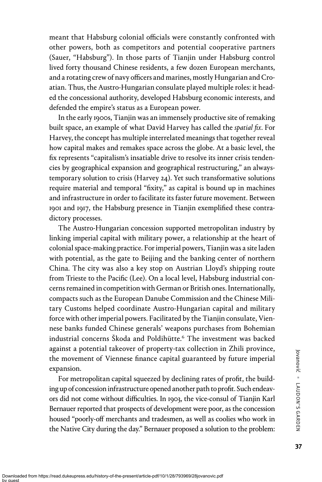meant that Habsburg colonial officials were constantly confronted with other powers, both as competitors and potential cooperative partners (Sauer, "Habsburg"). In those parts of Tianjin under Habsburg control lived forty thousand Chinese residents, a few dozen European merchants, and a rotating crew of navy officers and marines, mostly Hungarian and Croatian. Thus, the Austro-Hungarian consulate played multiple roles: it headed the concessional authority, developed Habsburg economic interests, and defended the empire's status as a European power.

In the early 1900s, Tianjin was an immensely productive site of remaking built space, an example of what David Harvey has called the spatial fix. For Harvey, the concept has multiple interrelated meanings that together reveal how capital makes and remakes space across the globe. At a basic level, the fix represents "capitalism's insatiable drive to resolve its inner crisis tendencies by geographical expansion and geographical restructuring," an alwaystemporary solution to crisis (Harvey 24). Yet such transformative solutions require material and temporal "fixity," as capital is bound up in machines and infrastructure in order to facilitate its faster future movement. Between 1901 and 1917, the Habsburg presence in Tianjin exemplified these contradictory processes.

The Austro-Hungarian concession supported metropolitan industry by linking imperial capital with military power, a relationship at the heart of colonial space-making practice. For imperial powers, Tianjin was a site laden with potential, as the gate to Beijing and the banking center of northern China. The city was also a key stop on Austrian Lloyd's shipping route from Trieste to the Pacific (Lee). On a local level, Habsburg industrial concerns remained in competition with German or British ones. Internationally, compacts such as the European Danube Commission and the Chinese Military Customs helped coordinate Austro-Hungarian capital and military force with other imperial powers. Facilitated by the Tianjin consulate, Viennese banks funded Chinese generals' weapons purchases from Bohemian industrial concerns Škoda and Poldihütte.<sup>6</sup> The investment was backed against a potential takeover of property-tax collection in Zhili province, the movement of Viennese finance capital guaranteed by future imperial expansion.

For metropolitan capital squeezed by declining rates of profit, the building up of concession infrastructure opened another path to profit. Such endeavors did not come without difficulties. In 1903, the vice-consul of Tianjin Karl Bernauer reported that prospects of development were poor, as the concession housed "poorly-off merchants and tradesmen, as well as coolies who work in the Native City during the day." Bernauer proposed a solution to the problem: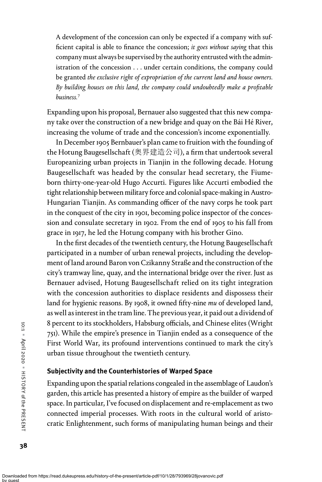A development of the concession can only be expected if a company with sufficient capital is able to finance the concession; it goes without saying that this company must always be supervised by the authority entrusted with the administration of the concession . . . under certain conditions, the company could be granted the exclusive right of expropriation of the current land and house owners. By building houses on this land, the company could undoubtedly make a profitable business.<sup>7</sup>

Expanding upon his proposal, Bernauer also suggested that this new company take over the construction of a new bridge and quay on the Bái Hé River, increasing the volume of trade and the concession's income exponentially.

In December 1905 Bernbauer's plan came to fruition with the founding of the Hotung Baugesellschaft (奥界建造公司), a firm that undertook several Europeanizing urban projects in Tianjin in the following decade. Hotung Baugesellschaft was headed by the consular head secretary, the Fiumeborn thirty-one-year-old Hugo Accurti. Figures like Accurti embodied the tight relationship between military force and colonial space-making in Austro-Hungarian Tianjin. As commanding officer of the navy corps he took part in the conquest of the city in 1901, becoming police inspector of the concession and consulate secretary in 1902. From the end of 1905 to his fall from grace in 1917, he led the Hotung company with his brother Gino.

In the first decades of the twentieth century, the Hotung Baugesellschaft participated in a number of urban renewal projects, including the development of land around Baron von Czikanny Straße and the construction of the city's tramway line, quay, and the international bridge over the river. Just as Bernauer advised, Hotung Baugesellschaft relied on its tight integration with the concession authorities to displace residents and dispossess their land for hygienic reasons. By 1908, it owned fifty-nine mu of developed land, as well as interest in the tram line. The previous year, it paid out a dividend of 8 percent to its stockholders, Habsburg officials, and Chinese elites (Wright 751). While the empire's presence in Tianjin ended as a consequence of the First World War, its profound interventions continued to mark the city's urban tissue throughout the twentieth century.

## Subjectivity and the Counterhistories of Warped Space

Expanding upon the spatial relations congealed in the assemblage of Laudon's garden, this article has presented a history of empire as the builder of warped space. In particular, I've focused on displacement and re-emplacement as two connected imperial processes. With roots in the cultural world of aristocratic Enlightenment, such forms of manipulating human beings and their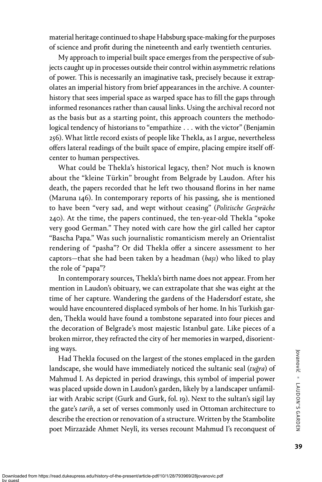material heritage continued to shape Habsburg space-making for the purposes of science and profit during the nineteenth and early twentieth centuries.

My approach to imperial built space emerges from the perspective of subjects caught up in processes outside their control within asymmetric relations of power. This is necessarily an imaginative task, precisely because it extrapolates an imperial history from brief appearances in the archive. A counterhistory that sees imperial space as warped space has to fill the gaps through informed resonances rather than causal links. Using the archival record not as the basis but as a starting point, this approach counters the methodological tendency of historians to "empathize . . . with the victor" (Benjamin 256). What little record exists of people like Thekla, as I argue, nevertheless offers lateral readings of the built space of empire, placing empire itself offcenter to human perspectives.

What could be Thekla's historical legacy, then? Not much is known about the "kleine Türkin" brought from Belgrade by Laudon. After his death, the papers recorded that he left two thousand florins in her name (Maruna 146). In contemporary reports of his passing, she is mentioned to have been "very sad, and wept without ceasing" (Politische Gespräche 240). At the time, the papers continued, the ten-year-old Thekla "spoke very good German." They noted with care how the girl called her captor "Bascha Papa." Was such journalistic romanticism merely an Orientalist rendering of "pasha"? Or did Thekla offer a sincere assessment to her captors—that she had been taken by a headman  $(bași)$  who liked to play the role of "papa"?

In contemporary sources, Thekla's birth name does not appear. From her mention in Laudon's obituary, we can extrapolate that she was eight at the time of her capture. Wandering the gardens of the Hadersdorf estate, she would have encountered displaced symbols of her home. In his Turkish garden, Thekla would have found a tombstone separated into four pieces and the decoration of Belgrade's most majestic Istanbul gate. Like pieces of a broken mirror, they refracted the city of her memories in warped, disorienting ways.

Had Thekla focused on the largest of the stones emplaced in the garden landscape, she would have immediately noticed the sultanic seal (tuğra) of Mahmud I. As depicted in period drawings, this symbol of imperial power was placed upside down in Laudon's garden, likely by a landscaper unfamiliar with Arabic script (Gurk and Gurk, fol. 19). Next to the sultan's sigil lay the gate's tarih, a set of verses commonly used in Ottoman architecture to describe the erection or renovation of a structure. Written by the Stambolite poet Mirzazâde Ahmet Neylî, its verses recount Mahmud I's reconquest of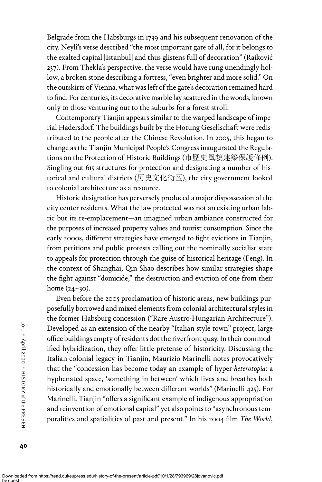Belgrade from the Habsburgs in 1739 and his subsequent renovation of the city. Neylî's verse described "the most important gate of all, for it belongs to the exalted capital [Istanbul] and thus glistens full of decoration" (Rajković 237). From Thekla's perspective, the verse would have rung unendingly hollow, a broken stone describing a fortress, "even brighter and more solid." On the outskirts of Vienna, what was left of the gate's decoration remained hard to find. For centuries, its decorative marble lay scattered in the woods, known only to those venturing out to the suburbs for a forest stroll.

Contemporary Tianjin appears similar to the warped landscape of imperial Hadersdorf. The buildings built by the Hotung Gesellschaft were redistributed to the people after the Chinese Revolution. In 2005, this began to change as the Tianjin Municipal People's Congress inaugurated the Regulations on the Protection of Historic Buildings (市歷史風貌建築保護條例). Singling out 615 structures for protection and designating a number of historical and cultural districts (历史文化街区), the city government looked to colonial architecture as a resource.

Historic designation has perversely produced a major dispossession of the city center residents. What the law protected was not an existing urban fabric but its re-emplacement—an imagined urban ambiance constructed for the purposes of increased property values and tourist consumption. Since the early 2000s, different strategies have emerged to fight evictions in Tianjin, from petitions and public protests calling out the nominally socialist state to appeals for protection through the guise of historical heritage (Feng). In the context of Shanghai, Qin Shao describes how similar strategies shape the fight against "domicide," the destruction and eviction of one from their home (24–30).

Even before the 2005 proclamation of historic areas, new buildings purposefully borrowed and mixed elements from colonial architectural styles in the former Habsburg concession ("Rare Austro-Hungarian Architecture"). Developed as an extension of the nearby "Italian style town" project, large office buildings empty of residents dot the riverfront quay. In their commodified hybridization, they offer little pretense of historicity. Discussing the Italian colonial legacy in Tianjin, Maurizio Marinelli notes provocatively that the "concession has become today an example of hyper-heterotopia: a hyphenated space, 'something in between' which lives and breathes both historically and emotionally between different worlds" (Marinelli 425). For Marinelli, Tianjin "offers a significant example of indigenous appropriation and reinvention of emotional capital" yet also points to "asynchronous temporalities and spatialities of past and present." In his 2004 film The World,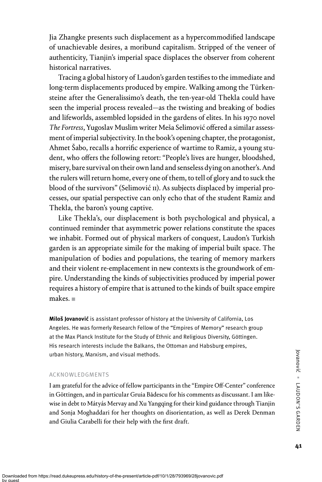Jia Zhangke presents such displacement as a hypercommodified landscape of unachievable desires, a moribund capitalism. Stripped of the veneer of authenticity, Tianjin's imperial space displaces the observer from coherent historical narratives.

Tracing a global history of Laudon's garden testifies to the immediate and long-term displacements produced by empire. Walking among the Türkensteine after the Generalissimo's death, the ten-year-old Thekla could have seen the imperial process revealed—as the twisting and breaking of bodies and lifeworlds, assembled lopsided in the gardens of elites. In his 1970 novel The Fortress, Yugoslav Muslim writer Meša Selimović offered a similar assessment of imperial subjectivity. In the book's opening chapter, the protagonist, Ahmet Šabo, recalls a horrific experience of wartime to Ramiz, a young student, who offers the following retort: "People's lives are hunger, bloodshed, misery, bare survival on their own land and senseless dying on another's. And the rulers will return home, every one of them, to tell of glory and to suck the blood of the survivors" (Selimović 11). As subjects displaced by imperial processes, our spatial perspective can only echo that of the student Ramiz and Thekla, the baron's young captive.

Like Thekla's, our displacement is both psychological and physical, a continued reminder that asymmetric power relations constitute the spaces we inhabit. Formed out of physical markers of conquest, Laudon's Turkish garden is an appropriate simile for the making of imperial built space. The manipulation of bodies and populations, the tearing of memory markers and their violent re-emplacement in new contexts is the groundwork of empire. Understanding the kinds of subjectivities produced by imperial power requires a history of empire that is attuned to the kinds of built space empire makes. ■

Miloš Jovanović is assistant professor of history at the University of California, Los Angeles. He was formerly Research Fellow of the "Empires of Memory" research group at the Max Planck Institute for the Study of Ethnic and Religious Diversity, Göttingen. His research interests include the Balkans, the Ottoman and Habsburg empires, urban history, Marxism, and visual methods.

#### ACKNOWLEDGMENTS

I am grateful for the advice of fellow participants in the "Empire Off-Center" conference in Göttingen, and in particular Gruia Bădescu for his comments as discussant. I am likewise in debt to Mátyás Mervay and Xu Yangqing for their kind guidance through Tianjin and Sonja Moghaddari for her thoughts on disorientation, as well as Derek Denman and Giulia Carabelli for their help with the first draft.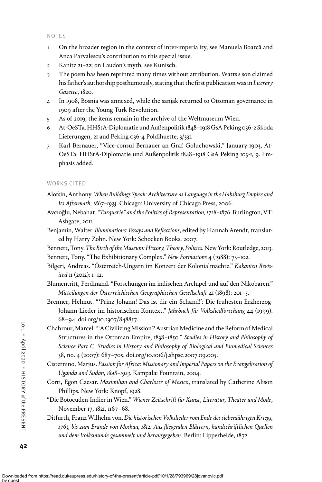#### NOTES

- 1 On the broader region in the context of inter-imperiality, see Manuela Boatcă and Anca Parvalescu's contribution to this special issue.
- 2 Kanitz 21–22; on Laudon's myth, see Kunisch.
- 3 The poem has been reprinted many times without attribution. Watts's son claimed his father's authorship posthumously, stating that the first publication was in Literary Gazette, 1820.
- 4 In 1908, Bosnia was annexed, while the sanjak returned to Ottoman governance in 1909 after the Young Turk Revolution.
- 5 As of 2019, the items remain in the archive of the Weltmuseum Wien.
- 6 At-OeSTa. HHStA-Diplomatie und Außenpolitik 1848–1918 GsA Peking 036-2 Skoda Lieferungen, 21 and Peking 036-4 Poldihuette, 3/331.
- 7 Karl Bernauer, "Vice-consul Bernauer an Graf Gołuchowski," January 1903, At-OeSTa. HHStA-Diplomatie und Außenpolitik 1848–1918 GsA Peking 103-1, 9. Emphasis added.

### WORKS CITED

- Alofsin, Anthony. When Buildings Speak: Architecture as Language in the Habsburg Empire and Its Aftermath, 1867–1933. Chicago: University of Chicago Press, 2006.
- Avcıoğlu, Nebahat."Turquerie" and the Politics of Representation, 1728–1876. Burlington, VT: Ashgate, 2011.
- Benjamin, Walter. Illuminations: Essays and Reflections, edited by Hannah Arendt, translated by Harry Zohn. New York: Schocken Books, 2007.
- Bennett, Tony. The Birth of the Museum: History, Theory, Politics. New York: Routledge, 2013.
- Bennett, Tony. "The Exhibitionary Complex." New Formations 4 (1988): 73-102.
- Bilgeri, Andreas. "Österreich-Ungarn im Konzert der Kolonialmächte." Kakanien Revisited 11 (2012): 1–12.
- Blumentritt, Ferdinand. "Forschungen im indischen Archipel und auf den Nikobaren." Mitteilungen der Österreichischen Geographischen Gesellschaft 41 (1898): 201–5.
- Brenner, Helmut. "'Prinz Johann! Das ist dir ein Schand!': Die fruhesten Erzherzog-Johann-Lieder im historischen Kontext." Jahrbuch für Volksliedforschung 44 (1999): 68–94. doi.org/10.2307/848857.
- Chahrour, Marcel. "'A Civilizing Mission'? Austrian Medicine and the Reform of Medical Structures in the Ottoman Empire, 1838–1850." Studies in History and Philosophy of Science Part C: Studies in History and Philosophy of Biological and Biomedical Sciences 38, no. 4 (2007): 687–705. doi.org/10.1016/j.shpsc.2007.09.005.
- Cisternino, Marius. Passion for Africa: Missionary and Imperial Papers on the Evangelisation of Uganda and Sudan, 1848–1923. Kampala: Fountain, 2004.
- Corti, Egon Caesar. Maximilian and Charlotte of Mexico, translated by Catherine Alison Phillips. New York: Knopf, 1928.
- "Die Botocuden-Indier in Wien." Wiener Zeitschrift für Kunst, Literatur, Theater und Mode, November 17, 1821, 1167-68.
- Ditfurth, Franz Wilhelm von. Die historischen Volkslieder vom Ende des siebenjährigen Kriegs, 1763, bis zum Brande von Moskau, 1812: Aus fliegenden Blättern, handschriftlichen Quellen und dem Volksmunde gesammelt und herausgegeben. Berlin: Lipperheide, 1872.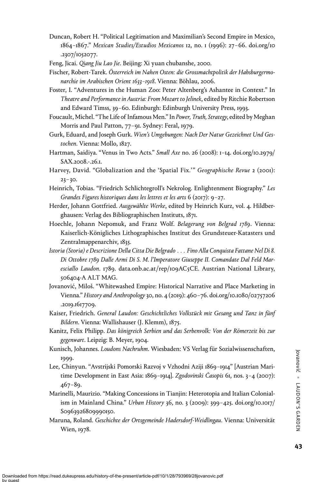- Duncan, Robert H. "Political Legitimation and Maximilian's Second Empire in Mexico, 1864–1867." Mexican Studies/Estudios Mexicanos 12, no. 1 (1996): 27–66. doi.org/10 .2307/1052077.
- Feng, Jicai. Qiang Jiu Lao Jie. Beijing: Xi yuan chubanshe, 2000.
- Fischer, Robert-Tarek. Österreich im Nahen Osten: die Grossmachtpolitik der Habsburgermonarchie im Arabischen Orient 1633–1918. Vienna: Böhlau, 2006.
- Foster, I. "Adventures in the Human Zoo: Peter Altenberg's Ashantee in Context." In Theatre and Performance in Austria: From Mozart to Jelinek, edited by Ritchie Robertson and Edward Timss, 39–60. Edinburgh: Edinburgh University Press, 1993.
- Foucault, Michel. "The Life of Infamous Men." In Power, Truth, Strategy, edited by Meghan Morris and Paul Patton, 77–91. Sydney: Feral, 1979.
- Gurk, Eduard, and Joseph Gurk. Wien's Umgebungen: Nach Der Natur Gezeichnet Und Gestochen. Vienna: Mollo, 1827.
- Hartman, Saidiya. "Venus in Two Acts." Small Axe no. 26 (2008): 1–14. doi.org/10.2979/ SAX.2008.-.26.1.
- Harvey, David. "Globalization and the 'Spatial Fix.'" Geographische Revue 2 (2001):  $23 - 30.$
- Heinrich, Tobias. "Friedrich Schlichtegroll's Nekrolog. Enlightenment Biography." Les Grandes Figures historiques dans les lettres et les arts 6 (2017): 9–27.
- Herder, Johann Gottfried. Ausgewählte Werke, edited by Heinrich Kurz, vol. 4. Hildberghausen: Verlag des Bibliographischen Instituts, 1871.
- Hoechle, Johann Nepomuk, and Franz Wolf. Belagerung von Belgrad 1789. Vienna: Kaiserlich-Königliches Lithographisches Institut des Grundsteuer-Katasters und Zentralmappenarchiv, 1835.
- Istoria (Storia) e Descrizione Della Citta Die Belgrado . . . Fino Alla Conquista Fattane Nel Di 8. Di Ottobre 1789 Dalle Armi Di S. M. l'Imperatore Giuseppe II. Comandate Dal Feld Maresciallo Laudon. 1789. data.onb.ac.at/rep/109AC5CE. Austrian National Library, 506404-A ALT MAG.
- Jovanović, Miloš. "Whitewashed Empire: Historical Narrative and Place Marketing in Vienna." History and Anthropology 30, no. 4 (2019): 460-76. doi.org/10.1080/02757206 .2019.1617709.
- Kaiser, Friedrich. General Laudon: Geschichtliches Volkstück mit Gesang und Tanz in fünf Bildern. Vienna: Wallishauser (J. Klemm), 1875.
- Kanitz, Felix Philipp. Das königreich Serbien und das Serbenvolk: Von der Römerzeit bis zur gegenwart. Leipzig: B. Meyer, 1904.
- Kunisch, Johannes. Loudons Nachruhm. Wiesbaden: VS Verlag für Sozialwissenschaften, 1999.
- Lee, Chinyun. "Avstrijski Pomorski Razvoj v Vzhodni Aziji 1869–1914" [Austrian Maritime Development in East Asia: 1869-1914]. Zgodovinski Časopis 61, nos. 3-4 (2007): 467–89.
- Marinelli, Maurizio. "Making Concessions in Tianjin: Heterotopia and Italian Colonialism in Mainland China." Urban History 36, no. 3 (2009): 399–425. doi.org/10.1017/ S0963926809990150.
- Maruna, Roland. Geschichte der Ortsgemeinde Hadersdorf-Weidlingau. Vienna: Universität Wien, 1978.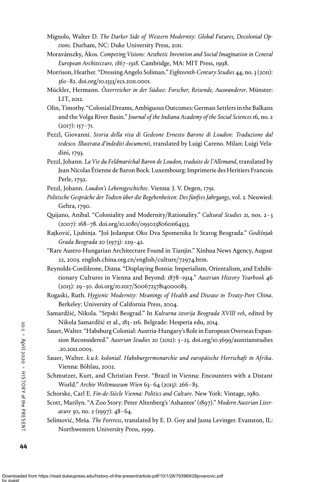- Mignolo, Walter D. The Darker Side of Western Modernity: Global Futures, Decolonial Options. Durham, NC: Duke University Press, 2011.
- Moravánszky, Ákos. Competing Visions: Aesthetic Invention and Social Imagination in Central European Architecture, 1867–1918. Cambridge, MA: MIT Press, 1998.
- Morrison, Heather. "Dressing Angelo Soliman." Eighteenth-Century Studies 44, no. 3 (2011): 361–82. doi.org/10.1353/ecs.2011.0001.
- Mückler, Hermann. Österreicher in der Südsee: Forscher, Reisende, Auswanderer. Münster: LIT, 2012.
- Olin, Timothy."Colonial Dreams, Ambiguous Outcomes: German Settlers in the Balkans and the Volga River Basin." Journal of the Indiana Academy of the Social Sciences 16, no. 2  $(2017): 157 - 71.$
- Pezzl, Giovanni. Storia della vita di Gedeone Ernesto Barone di Loudon: Traduzione dal tedesco. Illustrata d'indediti documenti, translated by Luigi Careno. Milan: Luigi Veladini, 1793.
- Pezzl, Johann. La Vie du Feldmaréchal Baron de Loudon, traduite de l'Allemand, translated by Jean Nicolas Étienne de Baron Bock. Luxembourg: Imprimerie des Heritiers Francois Perle, 1792.
- Pezzl, Johann. Loudon's Lebensgeschichte. Vienna: J. V. Degen, 1791.
- Politische Gespräche der Todten über die Begebenheiten: Des fünftes Jahrgangs, vol. 2. Neuwied: Gehra, 1790.
- Quijano, Aníbal. "Coloniality and Modernity/Rationality." Cultural Studies 21, nos. 2–3 (2007): 168–78. doi.org/10.1080/09502380601164353.
- Rajković, Ljubinja. "Još Jedanput Oko Dva Spomenika Iz Starog Beograda." Godišnjak Grada Beograda 20 (1973): 229–42.
- "Rare Austro-Hungarian Architecture Found in Tianjin." Xinhua News Agency, August 22, 2003. english.china.org.cn/english/culture/72974.htm.
- Reynolds-Cordileone, Diana. "Displaying Bosnia: Imperialism, Orientalism, and Exhibitionary Cultures in Vienna and Beyond: 1878–1914." Austrian History Yearbook 46 (2015): 29–50. doi.org/10.1017/S0067237814000083.
- Rogaski, Ruth. Hygienic Modernity: Meanings of Health and Disease in Treaty-Port China. Berkeley: University of California Press, 2004.
- Samardžić, Nikola. "Srpski Beograd." In Kulturna istorija Beograda XVIII vek, edited by Nikola Samardžić et al., 183–216. Belgrade: Hesperia edu, 2014.
- Sauer,Walter."Habsburg Colonial: Austria-Hungary's Role in European Overseas Expansion Reconsidered." Austrian Studies 20 (2012): 5–23. doi.org/10.5699/austrianstudies .20.2012.0005.
- Sauer, Walter. k.u.k. kolonial. Habsburgermonarchie und europäische Herrschaft in Afrika. Vienna: Böhlau, 2002.
- Schmutzer, Kurt, and Christian Feest. "Brazil in Vienna: Encounters with a Distant World." Archiv Weltmuseum Wien 63–64 (2013): 266–85.
- Schorske, Carl E. Fin-de-Siècle Vienna: Politics and Culture. New York: Vintage, 1980.
- Scott, Marilyn. "A Zoo Story: Peter Altenberg's 'Ashantee' (1897)." Modern Austrian Literature 30, no. 2 (1997): 48–64.
- Selimović, Meša. The Fortress, translated by E. D. Goy and Jasna Levinger. Evanston, IL: Northwestern University Press, 1999.

10:1 ■ April 2020 ■ HISTOR Y of the PRESENT